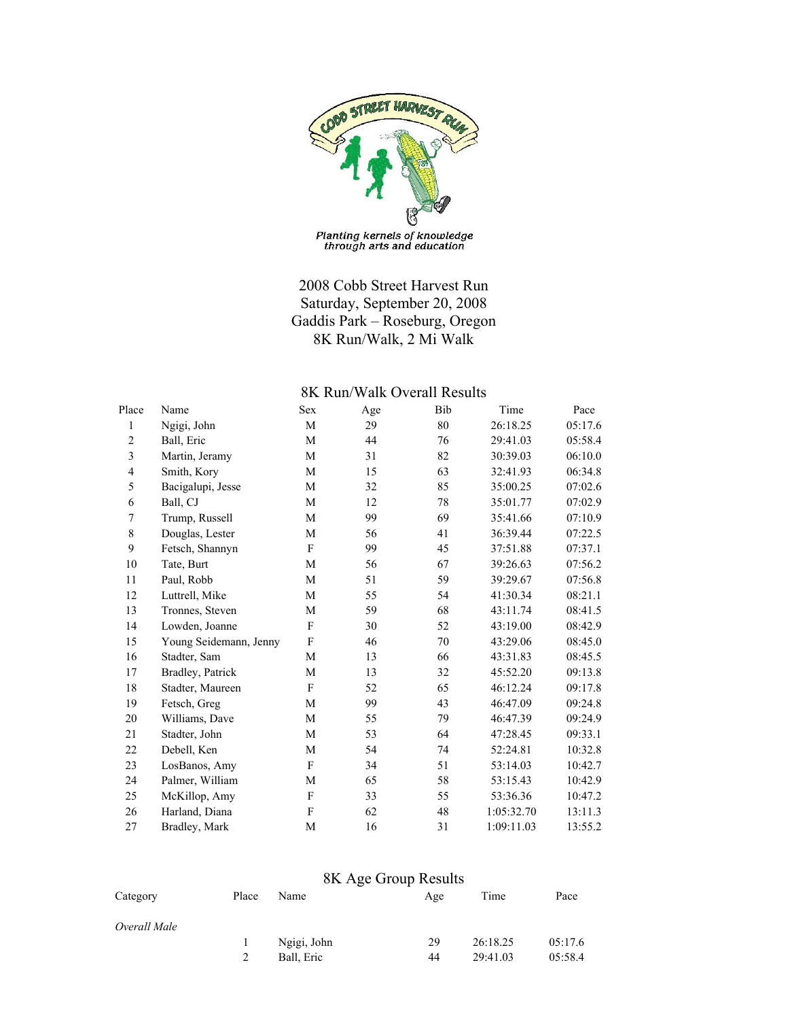

Planting kernels of knowledge<br>through arts and education

## 2008 Cobb Street Harvest Run Saturday, September 20, 2008 Gaddis Park – Roseburg, Oregon 8K Run/Walk, 2 Mi Walk

## 8K Run/Walk Overall Results

| Place                   | Name                   | Sex | Age | Bib | Time       | Pace    |
|-------------------------|------------------------|-----|-----|-----|------------|---------|
| 1                       | Ngigi, John            | M   | 29  | 80  | 26:18.25   | 05:17.6 |
| $\overline{c}$          | Ball, Eric             | M   | 44  | 76  | 29:41.03   | 05:58.4 |
| $\overline{3}$          | Martin, Jeramy         | M   | 31  | 82  | 30:39.03   | 06:10.0 |
| $\overline{\mathbf{4}}$ | Smith, Kory            | M   | 15  | 63  | 32:41.93   | 06:34.8 |
| 5                       | Bacigalupi, Jesse      | M   | 32  | 85  | 35:00.25   | 07:02.6 |
| 6                       | Ball, CJ               | М   | 12  | 78  | 35:01.77   | 07:02.9 |
| $\boldsymbol{7}$        | Trump, Russell         | M   | 99  | 69  | 35:41.66   | 07:10.9 |
| 8                       | Douglas, Lester        | M   | 56  | 41  | 36:39.44   | 07:22.5 |
| 9                       | Fetsch, Shannyn        | F   | 99  | 45  | 37:51.88   | 07:37.1 |
| 10                      | Tate, Burt             | M   | 56  | 67  | 39:26.63   | 07:56.2 |
| 11                      | Paul, Robb             | M   | 51  | 59  | 39:29.67   | 07:56.8 |
| 12                      | Luttrell, Mike         | М   | 55  | 54  | 41:30.34   | 08:21.1 |
| 13                      | Tronnes, Steven        | M   | 59  | 68  | 43:11.74   | 08:41.5 |
| 14                      | Lowden, Joanne         | F   | 30  | 52  | 43:19.00   | 08:42.9 |
| 15                      | Young Seidemann, Jenny | F   | 46  | 70  | 43:29.06   | 08:45.0 |
| 16                      | Stadter, Sam           | M   | 13  | 66  | 43:31.83   | 08:45.5 |
| 17                      | Bradley, Patrick       | M   | 13  | 32  | 45:52.20   | 09:13.8 |
| 18                      | Stadter, Maureen       | F   | 52  | 65  | 46:12.24   | 09:17.8 |
| 19                      | Fetsch, Greg           | M   | 99  | 43  | 46:47.09   | 09:24.8 |
| 20                      | Williams, Dave         | M   | 55  | 79  | 46:47.39   | 09:24.9 |
| 21                      | Stadter, John          | М   | 53  | 64  | 47:28.45   | 09:33.1 |
| 22                      | Debell, Ken            | М   | 54  | 74  | 52:24.81   | 10:32.8 |
| 23                      | LosBanos, Amy          | F   | 34  | 51  | 53:14.03   | 10:42.7 |
| 24                      | Palmer, William        | M   | 65  | 58  | 53:15.43   | 10:42.9 |
| 25                      | McKillop, Amy          | F   | 33  | 55  | 53:36.36   | 10:47.2 |
| 26                      | Harland, Diana         | F   | 62  | 48  | 1:05:32.70 | 13:11.3 |
| 27                      | Bradley, Mark          | M   | 16  | 31  | 1:09:11.03 | 13:55.2 |

## 8K Age Group Results

| Category     | Place | Name        | Age | Time     | Pace    |
|--------------|-------|-------------|-----|----------|---------|
| Overall Male |       |             |     |          |         |
|              |       | Ngigi, John | 29  | 26:18.25 | 05:17.6 |
|              |       | Ball, Eric  | 44  | 29:41.03 | 05:58.4 |